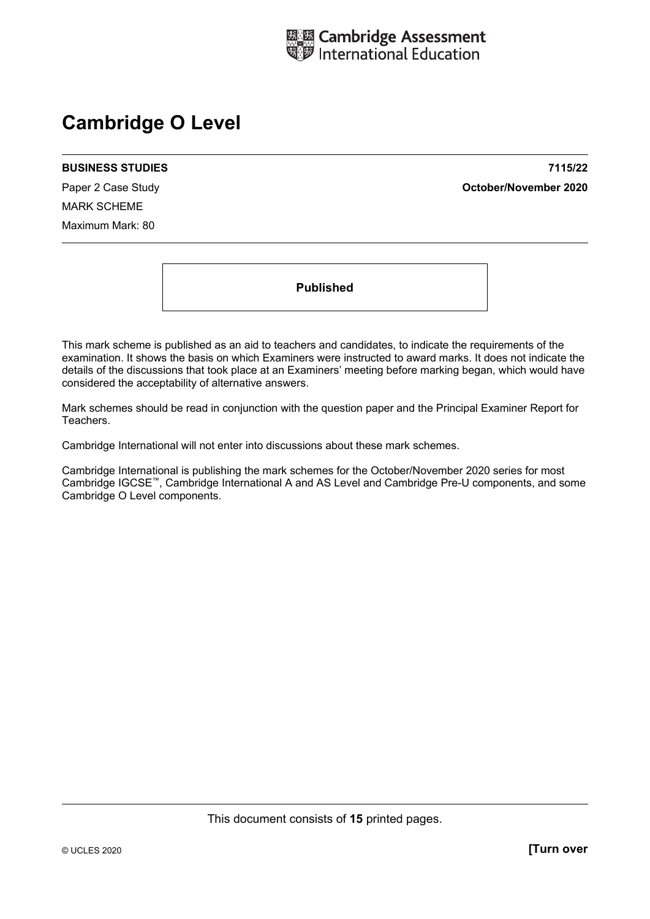

## **Cambridge O Level**

MARK SCHEME Maximum Mark: 80

**BUSINESS STUDIES 7115/22**  Paper 2 Case Study **October/November 2020**

**Published** 

This mark scheme is published as an aid to teachers and candidates, to indicate the requirements of the examination. It shows the basis on which Examiners were instructed to award marks. It does not indicate the details of the discussions that took place at an Examiners' meeting before marking began, which would have considered the acceptability of alternative answers.

Mark schemes should be read in conjunction with the question paper and the Principal Examiner Report for Teachers.

Cambridge International will not enter into discussions about these mark schemes.

Cambridge International is publishing the mark schemes for the October/November 2020 series for most Cambridge IGCSE™, Cambridge International A and AS Level and Cambridge Pre-U components, and some Cambridge O Level components.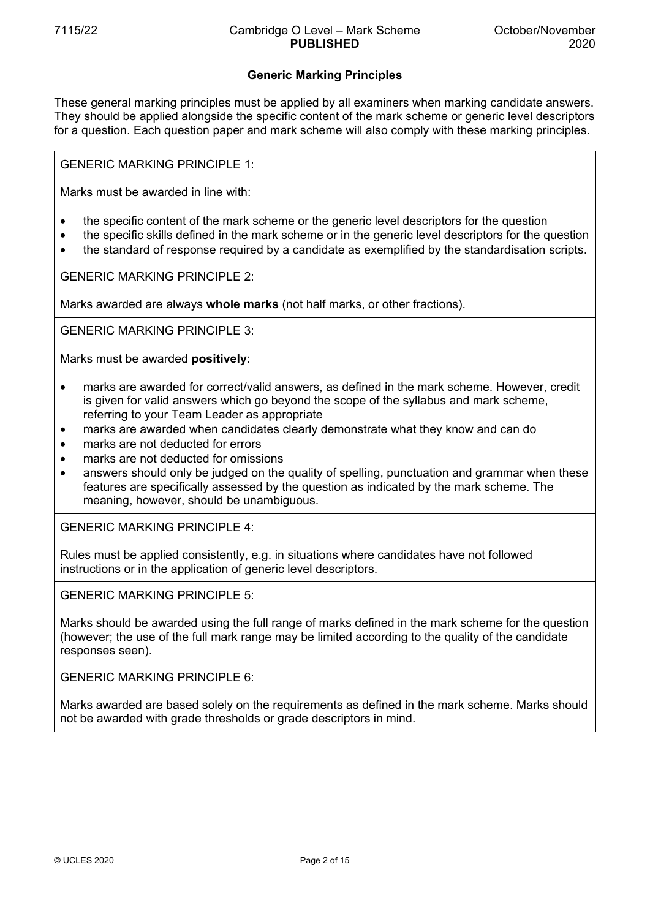## **Generic Marking Principles**

These general marking principles must be applied by all examiners when marking candidate answers. They should be applied alongside the specific content of the mark scheme or generic level descriptors for a question. Each question paper and mark scheme will also comply with these marking principles.

GENERIC MARKING PRINCIPLE 1:

Marks must be awarded in line with:

- the specific content of the mark scheme or the generic level descriptors for the question
- the specific skills defined in the mark scheme or in the generic level descriptors for the question
- the standard of response required by a candidate as exemplified by the standardisation scripts.

GENERIC MARKING PRINCIPLE 2:

Marks awarded are always **whole marks** (not half marks, or other fractions).

GENERIC MARKING PRINCIPLE 3:

Marks must be awarded **positively**:

- marks are awarded for correct/valid answers, as defined in the mark scheme. However, credit is given for valid answers which go beyond the scope of the syllabus and mark scheme, referring to your Team Leader as appropriate
- marks are awarded when candidates clearly demonstrate what they know and can do
- marks are not deducted for errors
- marks are not deducted for omissions
- answers should only be judged on the quality of spelling, punctuation and grammar when these features are specifically assessed by the question as indicated by the mark scheme. The meaning, however, should be unambiguous.

GENERIC MARKING PRINCIPLE 4:

Rules must be applied consistently, e.g. in situations where candidates have not followed instructions or in the application of generic level descriptors.

GENERIC MARKING PRINCIPLE 5:

Marks should be awarded using the full range of marks defined in the mark scheme for the question (however; the use of the full mark range may be limited according to the quality of the candidate responses seen).

GENERIC MARKING PRINCIPLE 6:

Marks awarded are based solely on the requirements as defined in the mark scheme. Marks should not be awarded with grade thresholds or grade descriptors in mind.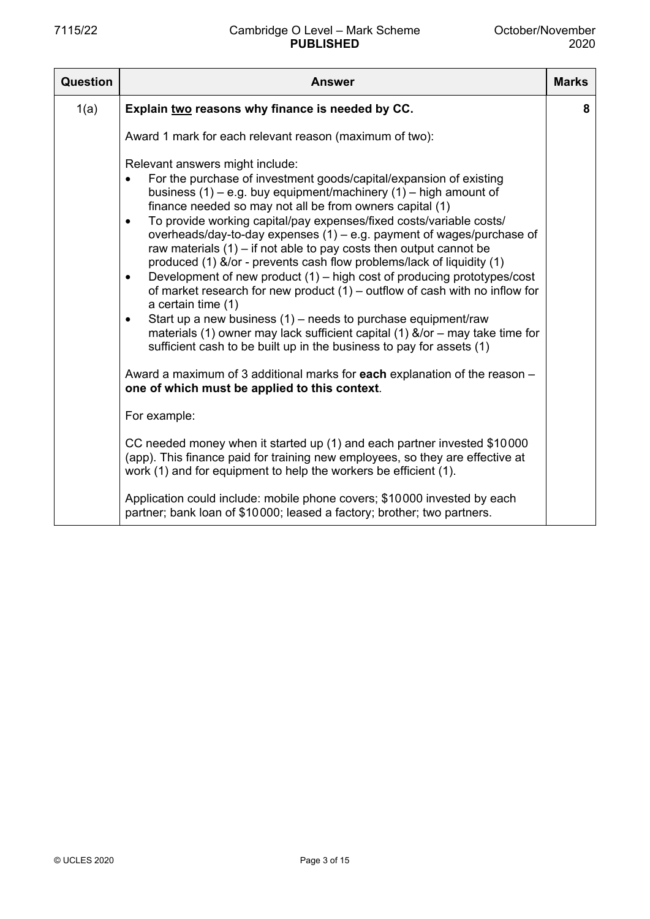| Question | Answer                                                                                                                                                                                                                                                                                                                                                                                                                                                                                                                                                                                                                                                                                                                                                                                                                                                                                                                                                                                                                                                                                                                                        | <b>Marks</b> |  |  |
|----------|-----------------------------------------------------------------------------------------------------------------------------------------------------------------------------------------------------------------------------------------------------------------------------------------------------------------------------------------------------------------------------------------------------------------------------------------------------------------------------------------------------------------------------------------------------------------------------------------------------------------------------------------------------------------------------------------------------------------------------------------------------------------------------------------------------------------------------------------------------------------------------------------------------------------------------------------------------------------------------------------------------------------------------------------------------------------------------------------------------------------------------------------------|--------------|--|--|
| 1(a)     | Explain two reasons why finance is needed by CC.                                                                                                                                                                                                                                                                                                                                                                                                                                                                                                                                                                                                                                                                                                                                                                                                                                                                                                                                                                                                                                                                                              | 8            |  |  |
|          | Award 1 mark for each relevant reason (maximum of two):                                                                                                                                                                                                                                                                                                                                                                                                                                                                                                                                                                                                                                                                                                                                                                                                                                                                                                                                                                                                                                                                                       |              |  |  |
|          | Relevant answers might include:<br>For the purchase of investment goods/capital/expansion of existing<br>$\bullet$<br>business $(1)$ – e.g. buy equipment/machinery $(1)$ – high amount of<br>finance needed so may not all be from owners capital (1)<br>To provide working capital/pay expenses/fixed costs/variable costs/<br>$\bullet$<br>overheads/day-to-day expenses (1) – e.g. payment of wages/purchase of<br>raw materials $(1)$ – if not able to pay costs then output cannot be<br>produced (1) &/or - prevents cash flow problems/lack of liquidity (1)<br>Development of new product (1) – high cost of producing prototypes/cost<br>$\bullet$<br>of market research for new product $(1)$ – outflow of cash with no inflow for<br>a certain time (1)<br>Start up a new business $(1)$ – needs to purchase equipment/raw<br>$\bullet$<br>materials (1) owner may lack sufficient capital (1) $&$ /or – may take time for<br>sufficient cash to be built up in the business to pay for assets (1)<br>Award a maximum of 3 additional marks for each explanation of the reason –<br>one of which must be applied to this context. |              |  |  |
|          | For example:                                                                                                                                                                                                                                                                                                                                                                                                                                                                                                                                                                                                                                                                                                                                                                                                                                                                                                                                                                                                                                                                                                                                  |              |  |  |
|          | CC needed money when it started up (1) and each partner invested \$10000<br>(app). This finance paid for training new employees, so they are effective at<br>work (1) and for equipment to help the workers be efficient (1).                                                                                                                                                                                                                                                                                                                                                                                                                                                                                                                                                                                                                                                                                                                                                                                                                                                                                                                 |              |  |  |
|          | Application could include: mobile phone covers; \$10000 invested by each<br>partner; bank loan of \$10000; leased a factory; brother; two partners.                                                                                                                                                                                                                                                                                                                                                                                                                                                                                                                                                                                                                                                                                                                                                                                                                                                                                                                                                                                           |              |  |  |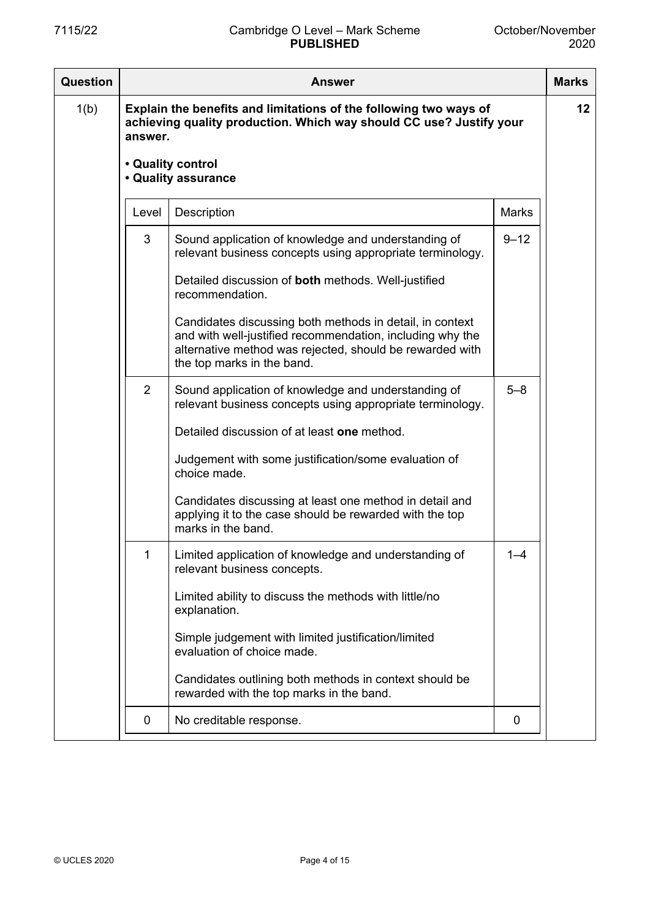| <b>Question</b> | <b>Answer</b> |                                                                                                                                                                                                                 |              |                 |
|-----------------|---------------|-----------------------------------------------------------------------------------------------------------------------------------------------------------------------------------------------------------------|--------------|-----------------|
| 1(b)            | answer.       | Explain the benefits and limitations of the following two ways of<br>achieving quality production. Which way should CC use? Justify your                                                                        |              | 12 <sub>2</sub> |
|                 |               | • Quality control<br>• Quality assurance                                                                                                                                                                        |              |                 |
|                 | Level         | Description                                                                                                                                                                                                     | <b>Marks</b> |                 |
|                 | 3             | Sound application of knowledge and understanding of<br>relevant business concepts using appropriate terminology.                                                                                                | $9 - 12$     |                 |
|                 |               | Detailed discussion of both methods. Well-justified<br>recommendation.                                                                                                                                          |              |                 |
|                 |               | Candidates discussing both methods in detail, in context<br>and with well-justified recommendation, including why the<br>alternative method was rejected, should be rewarded with<br>the top marks in the band. |              |                 |
|                 | 2             | Sound application of knowledge and understanding of<br>relevant business concepts using appropriate terminology.                                                                                                | $5 - 8$      |                 |
|                 |               | Detailed discussion of at least one method.                                                                                                                                                                     |              |                 |
|                 |               | Judgement with some justification/some evaluation of<br>choice made.                                                                                                                                            |              |                 |
|                 |               | Candidates discussing at least one method in detail and<br>applying it to the case should be rewarded with the top<br>marks in the band.                                                                        |              |                 |
|                 |               | Limited application of knowledge and understanding of<br>relevant business concepts.                                                                                                                            | $1 - 4$      |                 |
|                 |               | Limited ability to discuss the methods with little/no<br>explanation.                                                                                                                                           |              |                 |
|                 |               | Simple judgement with limited justification/limited<br>evaluation of choice made.                                                                                                                               |              |                 |
|                 |               | Candidates outlining both methods in context should be<br>rewarded with the top marks in the band.                                                                                                              |              |                 |
|                 | 0             | No creditable response.                                                                                                                                                                                         | 0            |                 |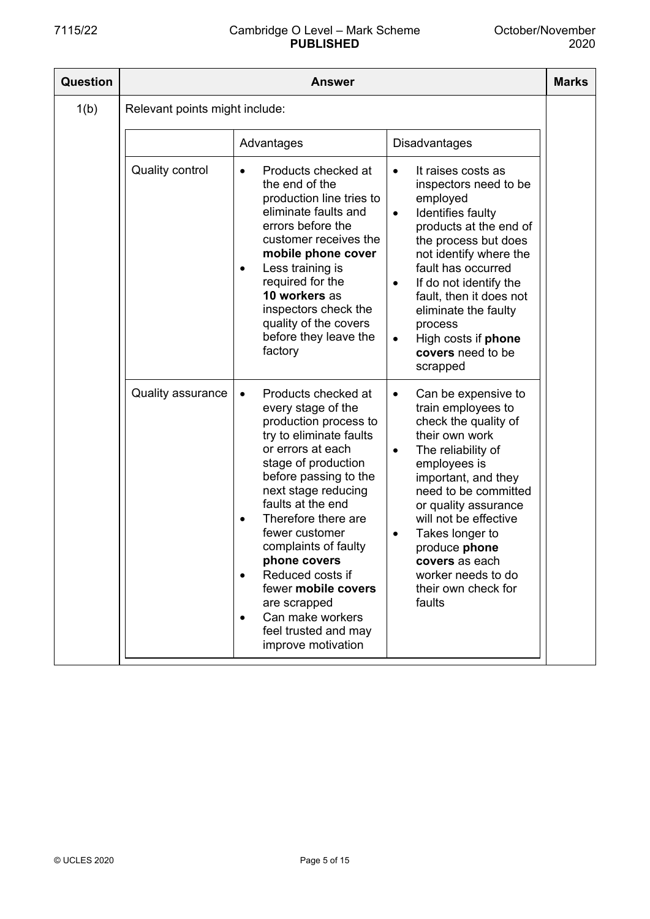| <b>Question</b> | <b>Answer</b>                  |                                                                                                                                                                                                                                                                                                                                                                                                                                                                     |                                                                                                                                                                                                                                                                                                                                                                                    |  |  |
|-----------------|--------------------------------|---------------------------------------------------------------------------------------------------------------------------------------------------------------------------------------------------------------------------------------------------------------------------------------------------------------------------------------------------------------------------------------------------------------------------------------------------------------------|------------------------------------------------------------------------------------------------------------------------------------------------------------------------------------------------------------------------------------------------------------------------------------------------------------------------------------------------------------------------------------|--|--|
| 1(b)            | Relevant points might include: |                                                                                                                                                                                                                                                                                                                                                                                                                                                                     |                                                                                                                                                                                                                                                                                                                                                                                    |  |  |
|                 |                                | Advantages                                                                                                                                                                                                                                                                                                                                                                                                                                                          | Disadvantages                                                                                                                                                                                                                                                                                                                                                                      |  |  |
|                 | <b>Quality control</b>         | Products checked at<br>the end of the<br>production line tries to<br>eliminate faults and<br>errors before the<br>customer receives the<br>mobile phone cover<br>Less training is<br>required for the<br>10 workers as<br>inspectors check the<br>quality of the covers<br>before they leave the<br>factory                                                                                                                                                         | It raises costs as<br>$\bullet$<br>inspectors need to be<br>employed<br>Identifies faulty<br>$\bullet$<br>products at the end of<br>the process but does<br>not identify where the<br>fault has occurred<br>If do not identify the<br>$\bullet$<br>fault, then it does not<br>eliminate the faulty<br>process<br>High costs if phone<br>$\bullet$<br>covers need to be<br>scrapped |  |  |
|                 | <b>Quality assurance</b>       | Products checked at<br>$\bullet$<br>every stage of the<br>production process to<br>try to eliminate faults<br>or errors at each<br>stage of production<br>before passing to the<br>next stage reducing<br>faults at the end<br>Therefore there are<br>$\bullet$<br>fewer customer<br>complaints of faulty<br>phone covers<br>Reduced costs if<br>fewer mobile covers<br>are scrapped<br>Can make workers<br>$\bullet$<br>feel trusted and may<br>improve motivation | Can be expensive to<br>٠<br>train employees to<br>check the quality of<br>their own work<br>The reliability of<br>$\bullet$<br>employees is<br>important, and they<br>need to be committed<br>or quality assurance<br>will not be effective<br>Takes longer to<br>$\bullet$<br>produce phone<br>covers as each<br>worker needs to do<br>their own check for<br>faults              |  |  |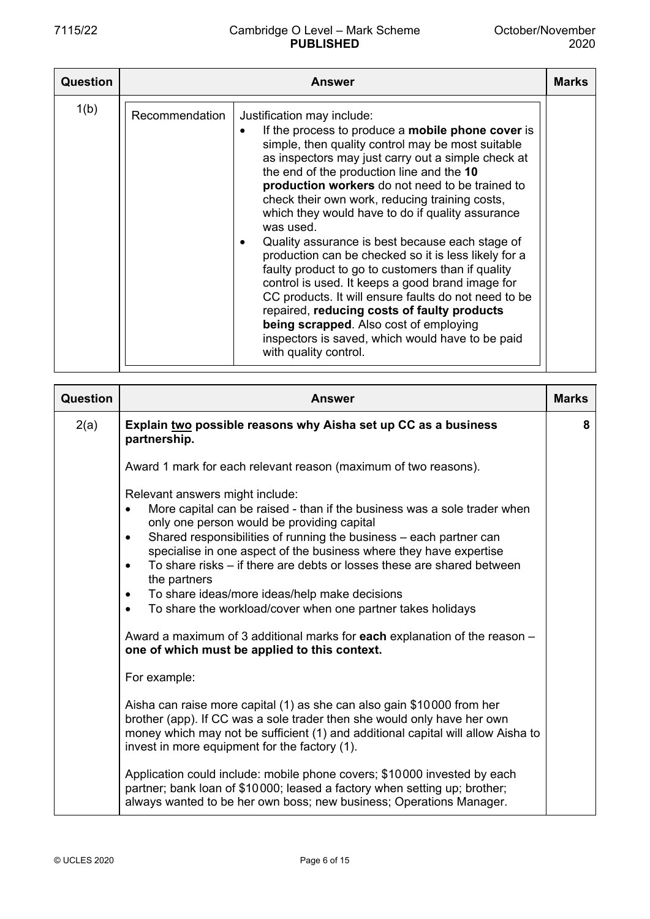| Question |                | <b>Answer</b>                                                                                                                                                                                                                                                                                                                                                                                                                                                                                                                                                                                                                                                                                                                                                                                                                                                          | <b>Marks</b> |
|----------|----------------|------------------------------------------------------------------------------------------------------------------------------------------------------------------------------------------------------------------------------------------------------------------------------------------------------------------------------------------------------------------------------------------------------------------------------------------------------------------------------------------------------------------------------------------------------------------------------------------------------------------------------------------------------------------------------------------------------------------------------------------------------------------------------------------------------------------------------------------------------------------------|--------------|
| 1(b)     | Recommendation | Justification may include:<br>If the process to produce a <b>mobile phone cover</b> is<br>simple, then quality control may be most suitable<br>as inspectors may just carry out a simple check at<br>the end of the production line and the 10<br>production workers do not need to be trained to<br>check their own work, reducing training costs,<br>which they would have to do if quality assurance<br>was used.<br>Quality assurance is best because each stage of<br>production can be checked so it is less likely for a<br>faulty product to go to customers than if quality<br>control is used. It keeps a good brand image for<br>CC products. It will ensure faults do not need to be<br>repaired, reducing costs of faulty products<br>being scrapped. Also cost of employing<br>inspectors is saved, which would have to be paid<br>with quality control. |              |

| Question | <b>Answer</b>                                                                                                                                                                                                                                                                                                                                                                                                                                                                                                                                                                                                                                                                                                   | <b>Marks</b> |
|----------|-----------------------------------------------------------------------------------------------------------------------------------------------------------------------------------------------------------------------------------------------------------------------------------------------------------------------------------------------------------------------------------------------------------------------------------------------------------------------------------------------------------------------------------------------------------------------------------------------------------------------------------------------------------------------------------------------------------------|--------------|
| 2(a)     | Explain two possible reasons why Aisha set up CC as a business<br>partnership.                                                                                                                                                                                                                                                                                                                                                                                                                                                                                                                                                                                                                                  | 8            |
|          | Award 1 mark for each relevant reason (maximum of two reasons).                                                                                                                                                                                                                                                                                                                                                                                                                                                                                                                                                                                                                                                 |              |
|          | Relevant answers might include:<br>More capital can be raised - than if the business was a sole trader when<br>$\bullet$<br>only one person would be providing capital<br>Shared responsibilities of running the business – each partner can<br>$\bullet$<br>specialise in one aspect of the business where they have expertise<br>To share risks – if there are debts or losses these are shared between<br>$\bullet$<br>the partners<br>To share ideas/more ideas/help make decisions<br>$\bullet$<br>To share the workload/cover when one partner takes holidays<br>$\bullet$<br>Award a maximum of 3 additional marks for each explanation of the reason -<br>one of which must be applied to this context. |              |
|          | For example:                                                                                                                                                                                                                                                                                                                                                                                                                                                                                                                                                                                                                                                                                                    |              |
|          | Aisha can raise more capital (1) as she can also gain \$10000 from her<br>brother (app). If CC was a sole trader then she would only have her own<br>money which may not be sufficient (1) and additional capital will allow Aisha to<br>invest in more equipment for the factory (1).                                                                                                                                                                                                                                                                                                                                                                                                                          |              |
|          | Application could include: mobile phone covers; \$10000 invested by each<br>partner; bank loan of \$10000; leased a factory when setting up; brother;<br>always wanted to be her own boss; new business; Operations Manager.                                                                                                                                                                                                                                                                                                                                                                                                                                                                                    |              |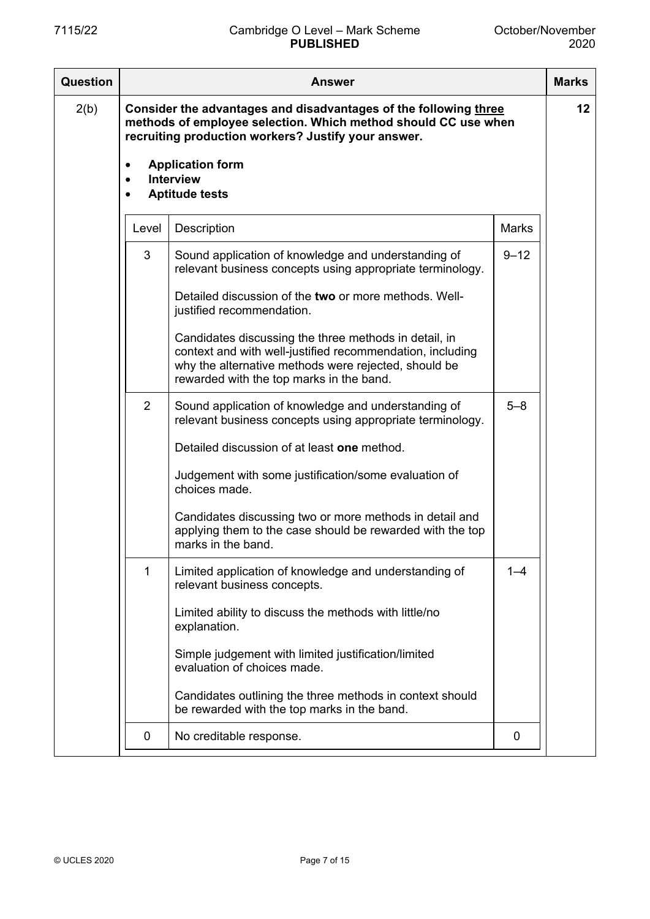| Question | Answer                              |                                                                                                                                                                                                                        |              |    |
|----------|-------------------------------------|------------------------------------------------------------------------------------------------------------------------------------------------------------------------------------------------------------------------|--------------|----|
| 2(b)     |                                     | Consider the advantages and disadvantages of the following three<br>methods of employee selection. Which method should CC use when<br>recruiting production workers? Justify your answer.                              |              | 12 |
|          | $\bullet$<br>$\bullet$<br>$\bullet$ | <b>Application form</b><br><b>Interview</b><br><b>Aptitude tests</b>                                                                                                                                                   |              |    |
|          | Level                               | Description                                                                                                                                                                                                            | <b>Marks</b> |    |
|          | 3                                   | Sound application of knowledge and understanding of<br>relevant business concepts using appropriate terminology.<br>Detailed discussion of the two or more methods. Well-                                              | $9 - 12$     |    |
|          |                                     | justified recommendation.                                                                                                                                                                                              |              |    |
|          |                                     | Candidates discussing the three methods in detail, in<br>context and with well-justified recommendation, including<br>why the alternative methods were rejected, should be<br>rewarded with the top marks in the band. |              |    |
|          | 2                                   | Sound application of knowledge and understanding of<br>relevant business concepts using appropriate terminology.                                                                                                       | $5 - 8$      |    |
|          |                                     | Detailed discussion of at least one method.                                                                                                                                                                            |              |    |
|          |                                     | Judgement with some justification/some evaluation of<br>choices made.                                                                                                                                                  |              |    |
|          |                                     | Candidates discussing two or more methods in detail and<br>applying them to the case should be rewarded with the top<br>marks in the band.                                                                             |              |    |
|          | 1                                   | Limited application of knowledge and understanding of<br>relevant business concepts.                                                                                                                                   | $1 - 4$      |    |
|          |                                     | Limited ability to discuss the methods with little/no<br>explanation.                                                                                                                                                  |              |    |
|          |                                     | Simple judgement with limited justification/limited<br>evaluation of choices made.                                                                                                                                     |              |    |
|          |                                     | Candidates outlining the three methods in context should<br>be rewarded with the top marks in the band.                                                                                                                |              |    |
|          | 0                                   | No creditable response.                                                                                                                                                                                                | 0            |    |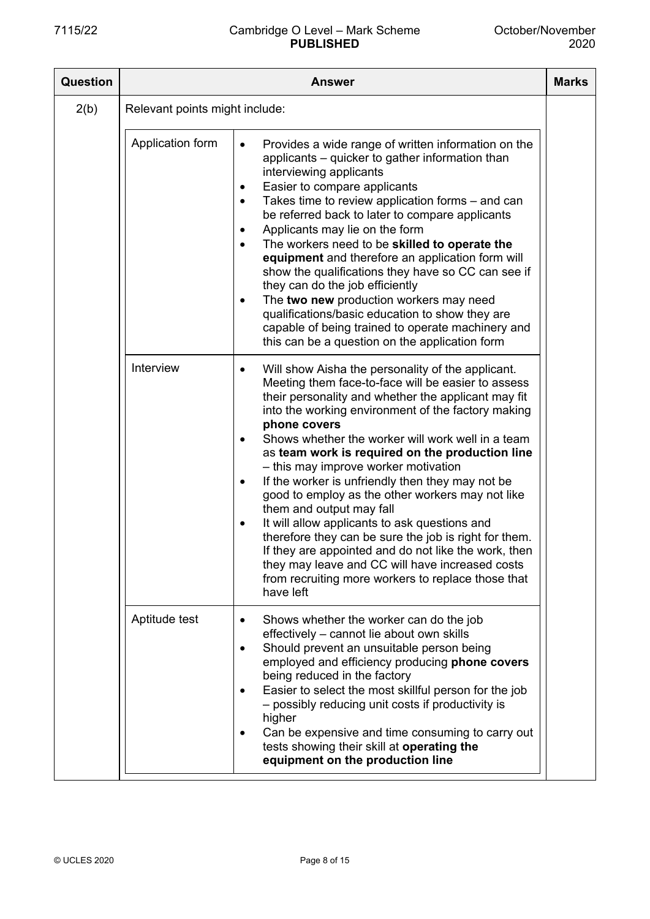| <b>Question</b> | <b>Answer</b>                  |                                                                                                                                                                                                                                                                                                                                                                                                                                                                                                                                                                                                                                                                                                                                                                                                                                                                      |  |  |
|-----------------|--------------------------------|----------------------------------------------------------------------------------------------------------------------------------------------------------------------------------------------------------------------------------------------------------------------------------------------------------------------------------------------------------------------------------------------------------------------------------------------------------------------------------------------------------------------------------------------------------------------------------------------------------------------------------------------------------------------------------------------------------------------------------------------------------------------------------------------------------------------------------------------------------------------|--|--|
| 2(b)            | Relevant points might include: |                                                                                                                                                                                                                                                                                                                                                                                                                                                                                                                                                                                                                                                                                                                                                                                                                                                                      |  |  |
|                 | Application form               | Provides a wide range of written information on the<br>$\bullet$<br>applicants – quicker to gather information than<br>interviewing applicants<br>Easier to compare applicants<br>$\bullet$<br>Takes time to review application forms – and can<br>$\bullet$<br>be referred back to later to compare applicants<br>Applicants may lie on the form<br>$\bullet$<br>The workers need to be skilled to operate the<br>$\bullet$<br>equipment and therefore an application form will<br>show the qualifications they have so CC can see if<br>they can do the job efficiently<br>The two new production workers may need<br>$\bullet$<br>qualifications/basic education to show they are<br>capable of being trained to operate machinery and<br>this can be a question on the application form                                                                          |  |  |
|                 | Interview                      | Will show Aisha the personality of the applicant.<br>$\bullet$<br>Meeting them face-to-face will be easier to assess<br>their personality and whether the applicant may fit<br>into the working environment of the factory making<br>phone covers<br>Shows whether the worker will work well in a team<br>$\bullet$<br>as team work is required on the production line<br>- this may improve worker motivation<br>If the worker is unfriendly then they may not be<br>$\bullet$<br>good to employ as the other workers may not like<br>them and output may fall<br>It will allow applicants to ask questions and<br>$\bullet$<br>therefore they can be sure the job is right for them.<br>If they are appointed and do not like the work, then<br>they may leave and CC will have increased costs<br>from recruiting more workers to replace those that<br>have left |  |  |
|                 | Aptitude test                  | Shows whether the worker can do the job<br>$\bullet$<br>effectively - cannot lie about own skills<br>Should prevent an unsuitable person being<br>$\bullet$<br>employed and efficiency producing phone covers<br>being reduced in the factory<br>Easier to select the most skillful person for the job<br>$\bullet$<br>- possibly reducing unit costs if productivity is<br>higher<br>Can be expensive and time consuming to carry out<br>٠<br>tests showing their skill at operating the<br>equipment on the production line                                                                                                                                                                                                                                                                                                                                        |  |  |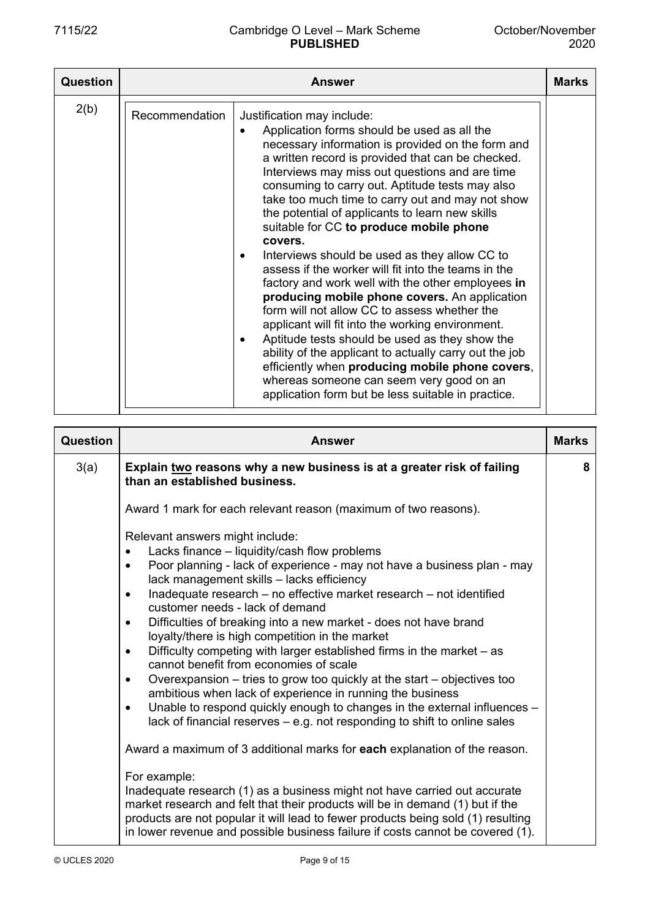| <b>Question</b> | <b>Answer</b>  |                                                                                                                                                                                                                                                                                                                                                                                                                                                                                                                                                                                                                                                                                                                                                                                                                                                                                                                                                                                                                                                                                 |  |  |
|-----------------|----------------|---------------------------------------------------------------------------------------------------------------------------------------------------------------------------------------------------------------------------------------------------------------------------------------------------------------------------------------------------------------------------------------------------------------------------------------------------------------------------------------------------------------------------------------------------------------------------------------------------------------------------------------------------------------------------------------------------------------------------------------------------------------------------------------------------------------------------------------------------------------------------------------------------------------------------------------------------------------------------------------------------------------------------------------------------------------------------------|--|--|
| 2(b)            | Recommendation | Justification may include:<br>Application forms should be used as all the<br>$\bullet$<br>necessary information is provided on the form and<br>a written record is provided that can be checked.<br>Interviews may miss out questions and are time<br>consuming to carry out. Aptitude tests may also<br>take too much time to carry out and may not show<br>the potential of applicants to learn new skills<br>suitable for CC to produce mobile phone<br>covers.<br>Interviews should be used as they allow CC to<br>$\bullet$<br>assess if the worker will fit into the teams in the<br>factory and work well with the other employees in<br>producing mobile phone covers. An application<br>form will not allow CC to assess whether the<br>applicant will fit into the working environment.<br>Aptitude tests should be used as they show the<br>$\bullet$<br>ability of the applicant to actually carry out the job<br>efficiently when producing mobile phone covers,<br>whereas someone can seem very good on an<br>application form but be less suitable in practice. |  |  |

| Question | <b>Answer</b>                                                                                                                                                                                                                                                                                                                                                                                                                                                                                                | <b>Marks</b> |
|----------|--------------------------------------------------------------------------------------------------------------------------------------------------------------------------------------------------------------------------------------------------------------------------------------------------------------------------------------------------------------------------------------------------------------------------------------------------------------------------------------------------------------|--------------|
| 3(a)     | Explain two reasons why a new business is at a greater risk of failing<br>than an established business.                                                                                                                                                                                                                                                                                                                                                                                                      | 8            |
|          | Award 1 mark for each relevant reason (maximum of two reasons).<br>Relevant answers might include:<br>Lacks finance – liquidity/cash flow problems<br>$\bullet$<br>Poor planning - lack of experience - may not have a business plan - may<br>$\bullet$<br>lack management skills - lacks efficiency<br>Inadequate research – no effective market research – not identified<br>$\bullet$<br>customer needs - lack of demand<br>Difficulties of breaking into a new market - does not have brand<br>$\bullet$ |              |
|          | loyalty/there is high competition in the market<br>Difficulty competing with larger established firms in the market – as<br>$\bullet$<br>cannot benefit from economies of scale<br>Overexpansion – tries to grow too quickly at the start – objectives too<br>$\bullet$<br>ambitious when lack of experience in running the business<br>Unable to respond quickly enough to changes in the external influences -<br>$\bullet$<br>lack of financial reserves $-$ e.g. not responding to shift to online sales |              |
|          | Award a maximum of 3 additional marks for each explanation of the reason.<br>For example:<br>Inadequate research (1) as a business might not have carried out accurate<br>market research and felt that their products will be in demand (1) but if the<br>products are not popular it will lead to fewer products being sold (1) resulting<br>in lower revenue and possible business failure if costs cannot be covered (1).                                                                                |              |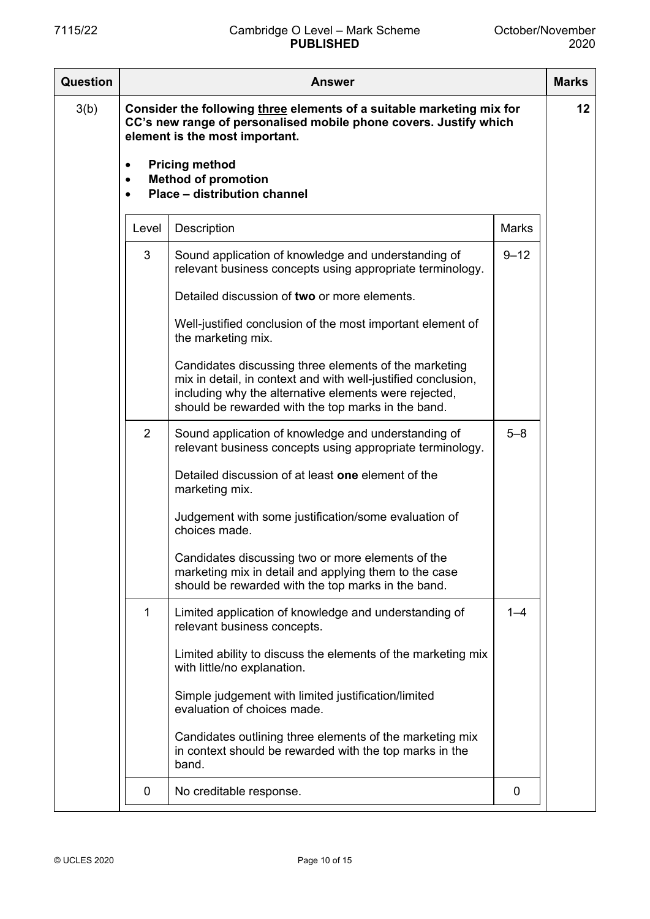| Question | Answer                              |                                                                                                                                                                                                                                                                     |              |    |  |
|----------|-------------------------------------|---------------------------------------------------------------------------------------------------------------------------------------------------------------------------------------------------------------------------------------------------------------------|--------------|----|--|
| 3(b)     | $\bullet$<br>$\bullet$<br>$\bullet$ | Consider the following three elements of a suitable marketing mix for<br>CC's new range of personalised mobile phone covers. Justify which<br>element is the most important.<br><b>Pricing method</b><br><b>Method of promotion</b><br>Place - distribution channel |              | 12 |  |
|          | Level                               | Description                                                                                                                                                                                                                                                         | <b>Marks</b> |    |  |
|          | 3                                   | Sound application of knowledge and understanding of<br>relevant business concepts using appropriate terminology.                                                                                                                                                    | $9 - 12$     |    |  |
|          |                                     | Detailed discussion of two or more elements.                                                                                                                                                                                                                        |              |    |  |
|          |                                     | Well-justified conclusion of the most important element of<br>the marketing mix.                                                                                                                                                                                    |              |    |  |
|          |                                     | Candidates discussing three elements of the marketing<br>mix in detail, in context and with well-justified conclusion,<br>including why the alternative elements were rejected,<br>should be rewarded with the top marks in the band.                               |              |    |  |
|          | 2                                   | Sound application of knowledge and understanding of<br>relevant business concepts using appropriate terminology.                                                                                                                                                    | $5 - 8$      |    |  |
|          |                                     | Detailed discussion of at least one element of the<br>marketing mix.                                                                                                                                                                                                |              |    |  |
|          |                                     | Judgement with some justification/some evaluation of<br>choices made.                                                                                                                                                                                               |              |    |  |
|          |                                     | Candidates discussing two or more elements of the<br>marketing mix in detail and applying them to the case<br>should be rewarded with the top marks in the band.                                                                                                    |              |    |  |
|          | 1                                   | Limited application of knowledge and understanding of<br>relevant business concepts.                                                                                                                                                                                | $1 - 4$      |    |  |
|          |                                     | Limited ability to discuss the elements of the marketing mix<br>with little/no explanation.                                                                                                                                                                         |              |    |  |
|          |                                     | Simple judgement with limited justification/limited<br>evaluation of choices made.                                                                                                                                                                                  |              |    |  |
|          |                                     | Candidates outlining three elements of the marketing mix<br>in context should be rewarded with the top marks in the<br>band.                                                                                                                                        |              |    |  |
|          | 0                                   | No creditable response.                                                                                                                                                                                                                                             | 0            |    |  |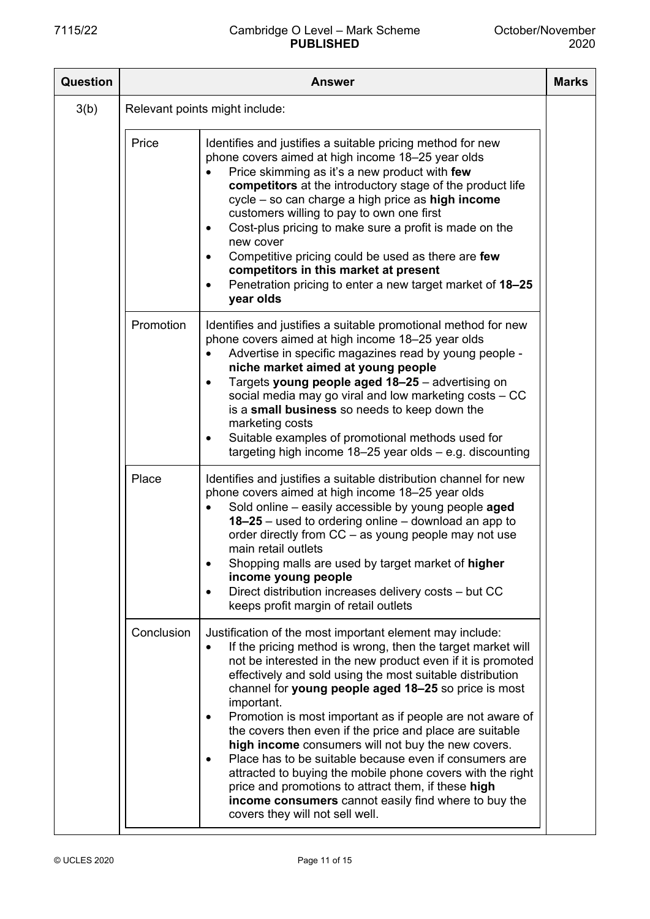| Question | <b>Answer</b> |                                                                                                                                                                                                                                                                                                                                                                                                                                                                                                                                                                                                                                                                                                                                                                                                 |  |  |
|----------|---------------|-------------------------------------------------------------------------------------------------------------------------------------------------------------------------------------------------------------------------------------------------------------------------------------------------------------------------------------------------------------------------------------------------------------------------------------------------------------------------------------------------------------------------------------------------------------------------------------------------------------------------------------------------------------------------------------------------------------------------------------------------------------------------------------------------|--|--|
| 3(b)     |               | Relevant points might include:                                                                                                                                                                                                                                                                                                                                                                                                                                                                                                                                                                                                                                                                                                                                                                  |  |  |
|          | Price         | Identifies and justifies a suitable pricing method for new<br>phone covers aimed at high income 18-25 year olds<br>Price skimming as it's a new product with few<br>competitors at the introductory stage of the product life<br>cycle - so can charge a high price as high income<br>customers willing to pay to own one first<br>Cost-plus pricing to make sure a profit is made on the<br>$\bullet$<br>new cover<br>Competitive pricing could be used as there are few<br>competitors in this market at present<br>Penetration pricing to enter a new target market of 18-25<br>year olds                                                                                                                                                                                                    |  |  |
|          | Promotion     | Identifies and justifies a suitable promotional method for new<br>phone covers aimed at high income 18-25 year olds<br>Advertise in specific magazines read by young people -<br>niche market aimed at young people<br>Targets young people aged 18-25 - advertising on<br>social media may go viral and low marketing costs - CC<br>is a small business so needs to keep down the<br>marketing costs<br>Suitable examples of promotional methods used for<br>٠<br>targeting high income $18-25$ year olds $-$ e.g. discounting                                                                                                                                                                                                                                                                 |  |  |
|          | Place         | Identifies and justifies a suitable distribution channel for new<br>phone covers aimed at high income 18-25 year olds<br>Sold online - easily accessible by young people aged<br>$18-25$ – used to ordering online – download an app to<br>order directly from $CC - as$ young people may not use<br>main retail outlets<br>Shopping malls are used by target market of higher<br>income young people<br>Direct distribution increases delivery costs - but CC<br>$\bullet$<br>keeps profit margin of retail outlets                                                                                                                                                                                                                                                                            |  |  |
|          | Conclusion    | Justification of the most important element may include:<br>If the pricing method is wrong, then the target market will<br>$\bullet$<br>not be interested in the new product even if it is promoted<br>effectively and sold using the most suitable distribution<br>channel for young people aged 18-25 so price is most<br>important.<br>Promotion is most important as if people are not aware of<br>the covers then even if the price and place are suitable<br>high income consumers will not buy the new covers.<br>Place has to be suitable because even if consumers are<br>attracted to buying the mobile phone covers with the right<br>price and promotions to attract them, if these high<br>income consumers cannot easily find where to buy the<br>covers they will not sell well. |  |  |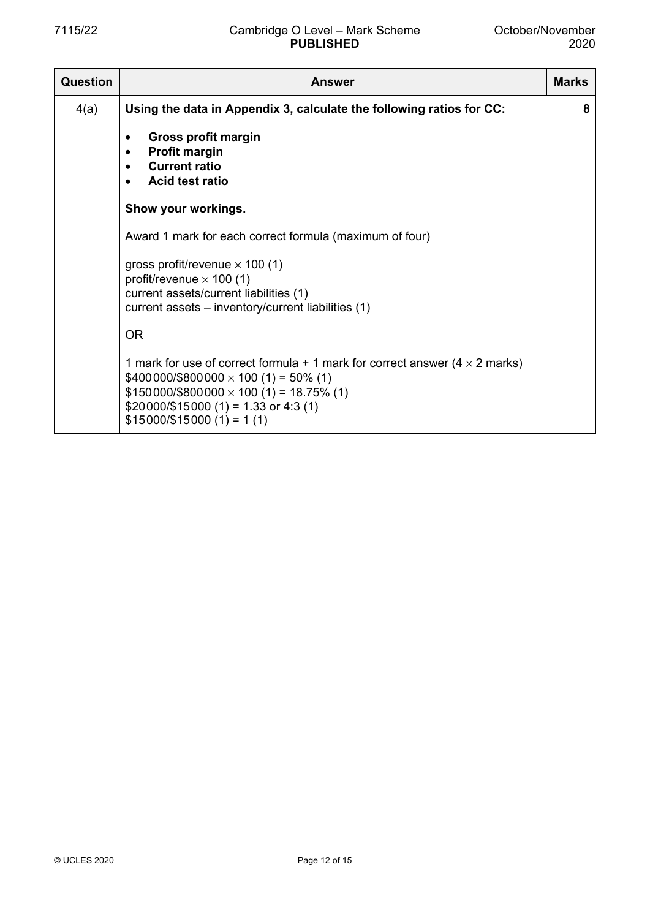| Question | <b>Answer</b>                                                                                                                                                                                                                                                                | <b>Marks</b> |  |
|----------|------------------------------------------------------------------------------------------------------------------------------------------------------------------------------------------------------------------------------------------------------------------------------|--------------|--|
| 4(a)     | Using the data in Appendix 3, calculate the following ratios for CC:                                                                                                                                                                                                         | 8            |  |
|          | Gross profit margin<br>٠<br><b>Profit margin</b><br><b>Current ratio</b><br><b>Acid test ratio</b><br>$\bullet$                                                                                                                                                              |              |  |
|          | Show your workings.                                                                                                                                                                                                                                                          |              |  |
|          | Award 1 mark for each correct formula (maximum of four)                                                                                                                                                                                                                      |              |  |
|          | gross profit/revenue $\times$ 100 (1)<br>profit/revenue $\times$ 100 (1)<br>current assets/current liabilities (1)<br>current assets - inventory/current liabilities (1)                                                                                                     |              |  |
|          | <b>OR</b>                                                                                                                                                                                                                                                                    |              |  |
|          | 1 mark for use of correct formula + 1 mark for correct answer $(4 \times 2$ marks)<br>$$400000$ /\$800000 $\times$ 100 (1) = 50% (1)<br>$$150000$ /\$800000 $\times$ 100 (1) = 18.75% (1)<br>$$20000\frac{$15000}{1} = 1.33$ or 4:3 (1)<br>$$15000 \times 15000 (1) = 1 (1)$ |              |  |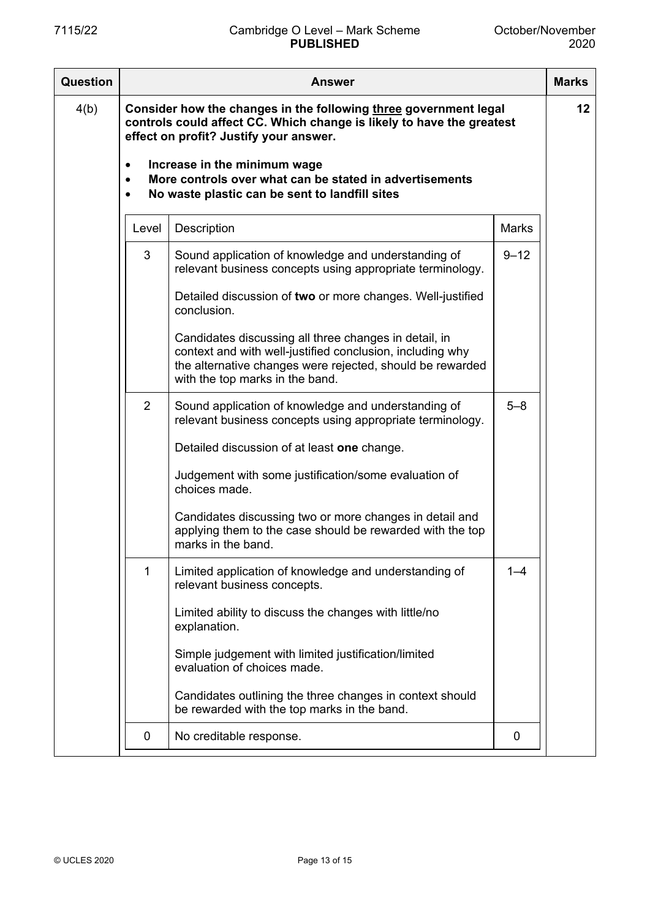| <b>Question</b> | Answer                                                                                                                                                                                                                                                                                                                                                     |                                                                                                                                                                                                                    |              | <b>Marks</b> |
|-----------------|------------------------------------------------------------------------------------------------------------------------------------------------------------------------------------------------------------------------------------------------------------------------------------------------------------------------------------------------------------|--------------------------------------------------------------------------------------------------------------------------------------------------------------------------------------------------------------------|--------------|--------------|
| 4(b)            | Consider how the changes in the following three government legal<br>controls could affect CC. Which change is likely to have the greatest<br>effect on profit? Justify your answer.<br>Increase in the minimum wage<br>$\bullet$<br>More controls over what can be stated in advertisements<br>$\bullet$<br>No waste plastic can be sent to landfill sites |                                                                                                                                                                                                                    |              |              |
|                 |                                                                                                                                                                                                                                                                                                                                                            |                                                                                                                                                                                                                    |              |              |
|                 | Level                                                                                                                                                                                                                                                                                                                                                      | Description                                                                                                                                                                                                        | <b>Marks</b> |              |
|                 | 3                                                                                                                                                                                                                                                                                                                                                          | Sound application of knowledge and understanding of<br>relevant business concepts using appropriate terminology.                                                                                                   | $9 - 12$     |              |
|                 |                                                                                                                                                                                                                                                                                                                                                            | Detailed discussion of two or more changes. Well-justified<br>conclusion.                                                                                                                                          |              |              |
|                 |                                                                                                                                                                                                                                                                                                                                                            | Candidates discussing all three changes in detail, in<br>context and with well-justified conclusion, including why<br>the alternative changes were rejected, should be rewarded<br>with the top marks in the band. |              |              |
|                 | $\overline{2}$                                                                                                                                                                                                                                                                                                                                             | Sound application of knowledge and understanding of<br>relevant business concepts using appropriate terminology.                                                                                                   | $5 - 8$      |              |
|                 |                                                                                                                                                                                                                                                                                                                                                            | Detailed discussion of at least one change.                                                                                                                                                                        |              |              |
|                 |                                                                                                                                                                                                                                                                                                                                                            | Judgement with some justification/some evaluation of<br>choices made.                                                                                                                                              |              |              |
|                 |                                                                                                                                                                                                                                                                                                                                                            | Candidates discussing two or more changes in detail and<br>applying them to the case should be rewarded with the top<br>marks in the band.                                                                         |              |              |
|                 | 1                                                                                                                                                                                                                                                                                                                                                          | Limited application of knowledge and understanding of<br>relevant business concepts.                                                                                                                               | $1 - 4$      |              |
|                 |                                                                                                                                                                                                                                                                                                                                                            | Limited ability to discuss the changes with little/no<br>explanation.                                                                                                                                              |              |              |
|                 |                                                                                                                                                                                                                                                                                                                                                            | Simple judgement with limited justification/limited<br>evaluation of choices made.                                                                                                                                 |              |              |
|                 |                                                                                                                                                                                                                                                                                                                                                            | Candidates outlining the three changes in context should<br>be rewarded with the top marks in the band.                                                                                                            |              |              |
|                 | 0                                                                                                                                                                                                                                                                                                                                                          | No creditable response.                                                                                                                                                                                            | 0            |              |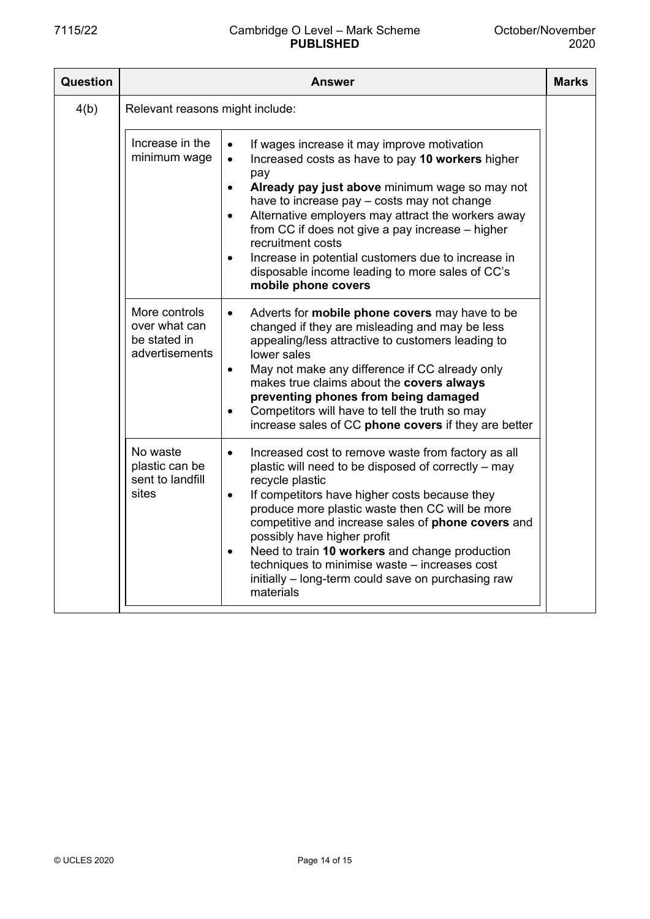| <b>Question</b> | Answer                                                                                                                                                                                                                                                                                                                                                                                                                                                                                                                                                                                        |  |  |  |  |  |
|-----------------|-----------------------------------------------------------------------------------------------------------------------------------------------------------------------------------------------------------------------------------------------------------------------------------------------------------------------------------------------------------------------------------------------------------------------------------------------------------------------------------------------------------------------------------------------------------------------------------------------|--|--|--|--|--|
| 4(b)            | Relevant reasons might include:                                                                                                                                                                                                                                                                                                                                                                                                                                                                                                                                                               |  |  |  |  |  |
|                 | Increase in the<br>If wages increase it may improve motivation<br>$\bullet$<br>minimum wage<br>Increased costs as have to pay 10 workers higher<br>$\bullet$<br>pay<br>Already pay just above minimum wage so may not<br>$\bullet$<br>have to increase pay – costs may not change<br>Alternative employers may attract the workers away<br>$\bullet$<br>from CC if does not give a pay increase – higher<br>recruitment costs<br>Increase in potential customers due to increase in<br>$\bullet$<br>disposable income leading to more sales of CC's<br>mobile phone covers                    |  |  |  |  |  |
|                 | More controls<br>Adverts for <b>mobile phone covers</b> may have to be<br>over what can<br>changed if they are misleading and may be less<br>be stated in<br>appealing/less attractive to customers leading to<br>advertisements<br>lower sales<br>May not make any difference if CC already only<br>$\bullet$<br>makes true claims about the covers always<br>preventing phones from being damaged<br>Competitors will have to tell the truth so may<br>$\bullet$<br>increase sales of CC phone covers if they are better                                                                    |  |  |  |  |  |
|                 | No waste<br>Increased cost to remove waste from factory as all<br>$\bullet$<br>plastic can be<br>plastic will need to be disposed of correctly - may<br>sent to landfill<br>recycle plastic<br>sites<br>If competitors have higher costs because they<br>$\bullet$<br>produce more plastic waste then CC will be more<br>competitive and increase sales of phone covers and<br>possibly have higher profit<br>Need to train 10 workers and change production<br>$\bullet$<br>techniques to minimise waste - increases cost<br>initially – long-term could save on purchasing raw<br>materials |  |  |  |  |  |